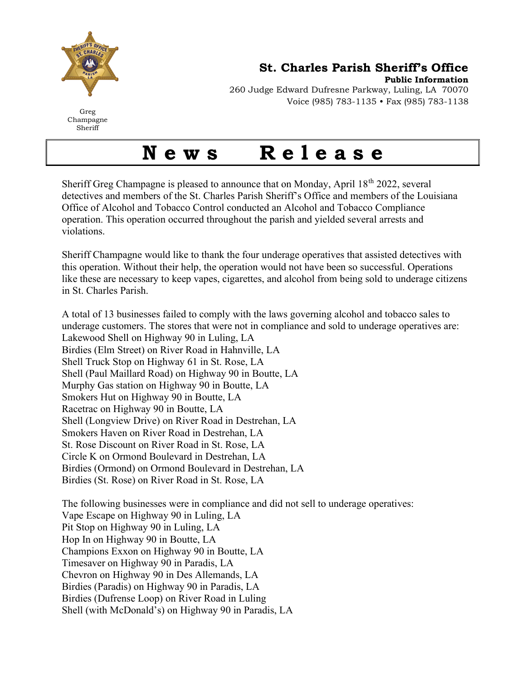

St. Charles Parish Sheriff's Office

Public Information

Greg Champagne Sheriff

260 Judge Edward Dufresne Parkway, Luling, LA 70070 Voice (985) 783-1135 • Fax (985) 783-1138

## News Release

Sheriff Greg Champagne is pleased to announce that on Monday, April  $18<sup>th</sup> 2022$ , several detectives and members of the St. Charles Parish Sheriff's Office and members of the Louisiana Office of Alcohol and Tobacco Control conducted an Alcohol and Tobacco Compliance operation. This operation occurred throughout the parish and yielded several arrests and violations.

Sheriff Champagne would like to thank the four underage operatives that assisted detectives with this operation. Without their help, the operation would not have been so successful. Operations like these are necessary to keep vapes, cigarettes, and alcohol from being sold to underage citizens in St. Charles Parish.

A total of 13 businesses failed to comply with the laws governing alcohol and tobacco sales to underage customers. The stores that were not in compliance and sold to underage operatives are: Lakewood Shell on Highway 90 in Luling, LA Birdies (Elm Street) on River Road in Hahnville, LA Shell Truck Stop on Highway 61 in St. Rose, LA Shell (Paul Maillard Road) on Highway 90 in Boutte, LA Murphy Gas station on Highway 90 in Boutte, LA Smokers Hut on Highway 90 in Boutte, LA Racetrac on Highway 90 in Boutte, LA Shell (Longview Drive) on River Road in Destrehan, LA Smokers Haven on River Road in Destrehan, LA St. Rose Discount on River Road in St. Rose, LA Circle K on Ormond Boulevard in Destrehan, LA Birdies (Ormond) on Ormond Boulevard in Destrehan, LA Birdies (St. Rose) on River Road in St. Rose, LA

The following businesses were in compliance and did not sell to underage operatives: Vape Escape on Highway 90 in Luling, LA Pit Stop on Highway 90 in Luling, LA Hop In on Highway 90 in Boutte, LA Champions Exxon on Highway 90 in Boutte, LA Timesaver on Highway 90 in Paradis, LA Chevron on Highway 90 in Des Allemands, LA Birdies (Paradis) on Highway 90 in Paradis, LA Birdies (Dufrense Loop) on River Road in Luling Shell (with McDonald's) on Highway 90 in Paradis, LA